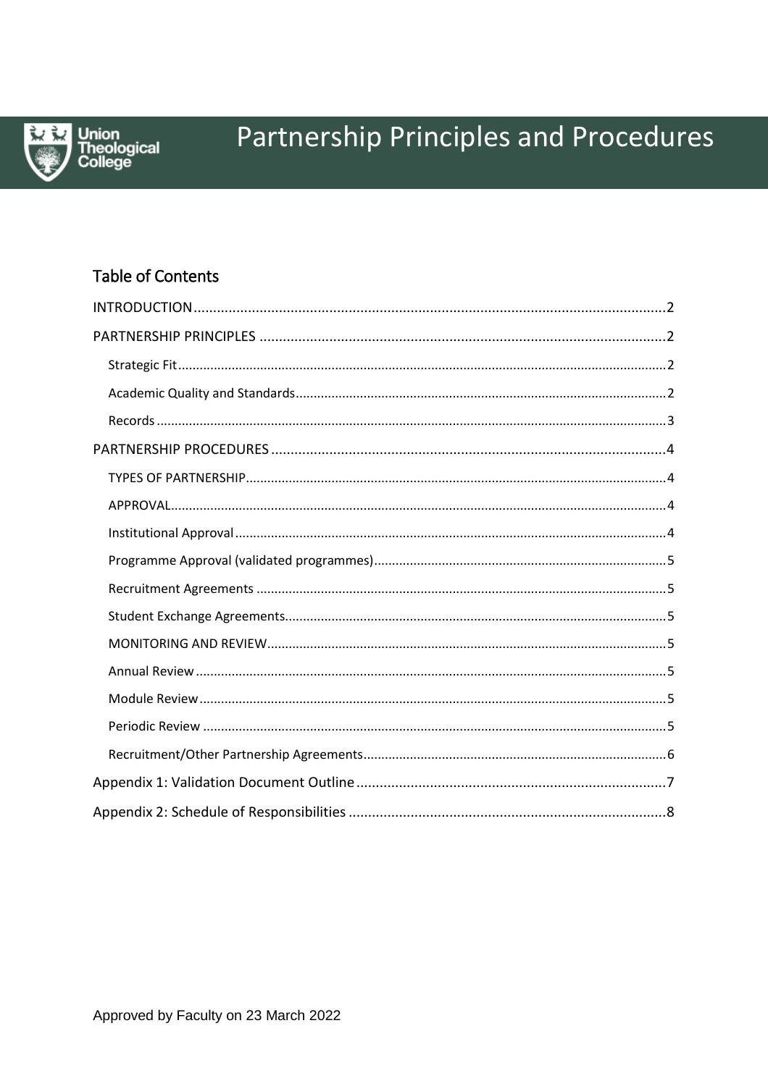

# Partnership Principles and Procedures

# **Table of Contents**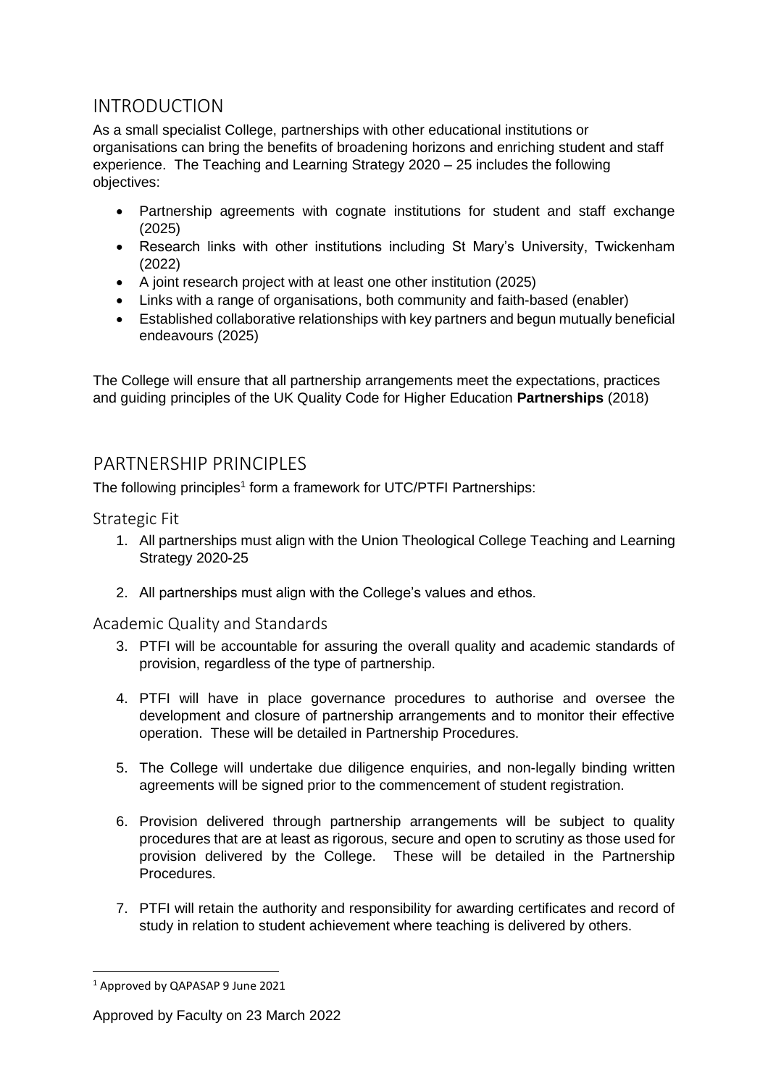# <span id="page-1-0"></span>INTRODUCTION

As a small specialist College, partnerships with other educational institutions or organisations can bring the benefits of broadening horizons and enriching student and staff experience. The Teaching and Learning Strategy 2020 – 25 includes the following objectives:

- Partnership agreements with cognate institutions for student and staff exchange (2025)
- Research links with other institutions including St Mary's University, Twickenham (2022)
- A joint research project with at least one other institution (2025)
- Links with a range of organisations, both community and faith-based (enabler)
- Established collaborative relationships with key partners and begun mutually beneficial endeavours (2025)

The College will ensure that all partnership arrangements meet the expectations, practices and guiding principles of the UK Quality Code for Higher Education **Partnerships** (2018)

# <span id="page-1-1"></span>PARTNERSHIP PRINCIPLES

The following principles<sup>1</sup> form a framework for UTC/PTFI Partnerships:

<span id="page-1-2"></span>Strategic Fit

- 1. All partnerships must align with the Union Theological College Teaching and Learning Strategy 2020-25
- 2. All partnerships must align with the College's values and ethos.

<span id="page-1-3"></span>Academic Quality and Standards

- 3. PTFI will be accountable for assuring the overall quality and academic standards of provision, regardless of the type of partnership.
- 4. PTFI will have in place governance procedures to authorise and oversee the development and closure of partnership arrangements and to monitor their effective operation. These will be detailed in Partnership Procedures.
- 5. The College will undertake due diligence enquiries, and non-legally binding written agreements will be signed prior to the commencement of student registration.
- 6. Provision delivered through partnership arrangements will be subject to quality procedures that are at least as rigorous, secure and open to scrutiny as those used for provision delivered by the College. These will be detailed in the Partnership Procedures.
- 7. PTFI will retain the authority and responsibility for awarding certificates and record of study in relation to student achievement where teaching is delivered by others.

 $\overline{a}$ 

<sup>1</sup> Approved by QAPASAP 9 June 2021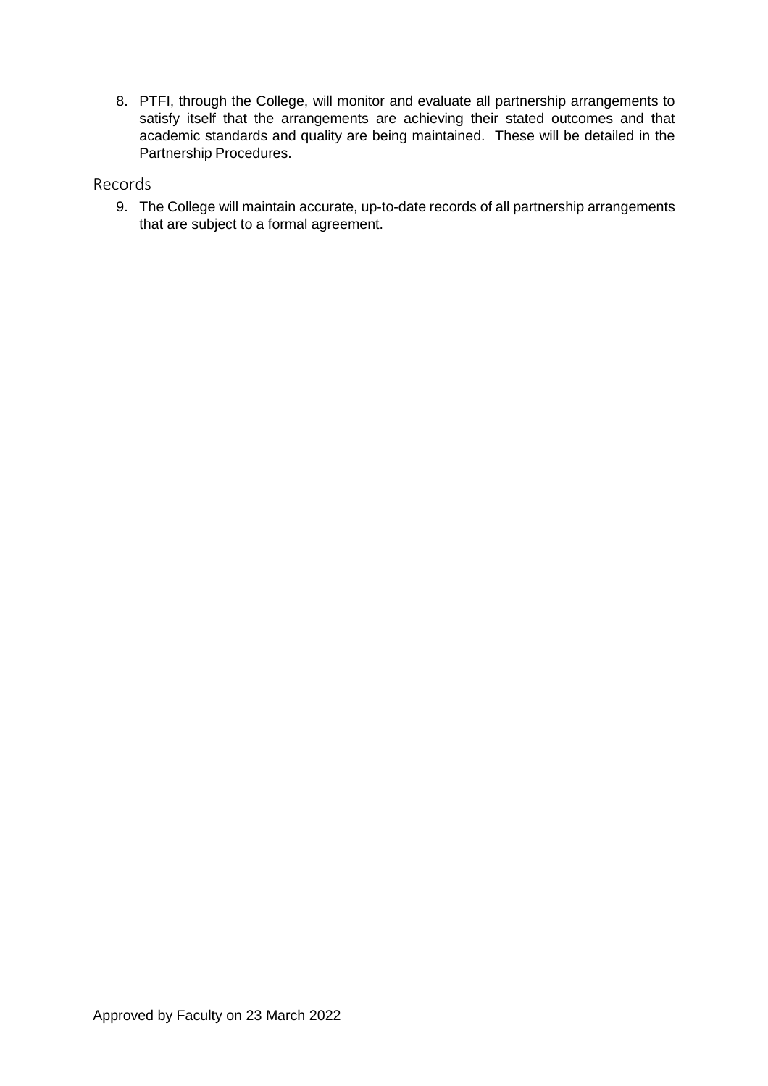8. PTFI, through the College, will monitor and evaluate all partnership arrangements to satisfy itself that the arrangements are achieving their stated outcomes and that academic standards and quality are being maintained. These will be detailed in the Partnership Procedures.

## <span id="page-2-0"></span>Records

9. The College will maintain accurate, up-to-date records of all partnership arrangements that are subject to a formal agreement.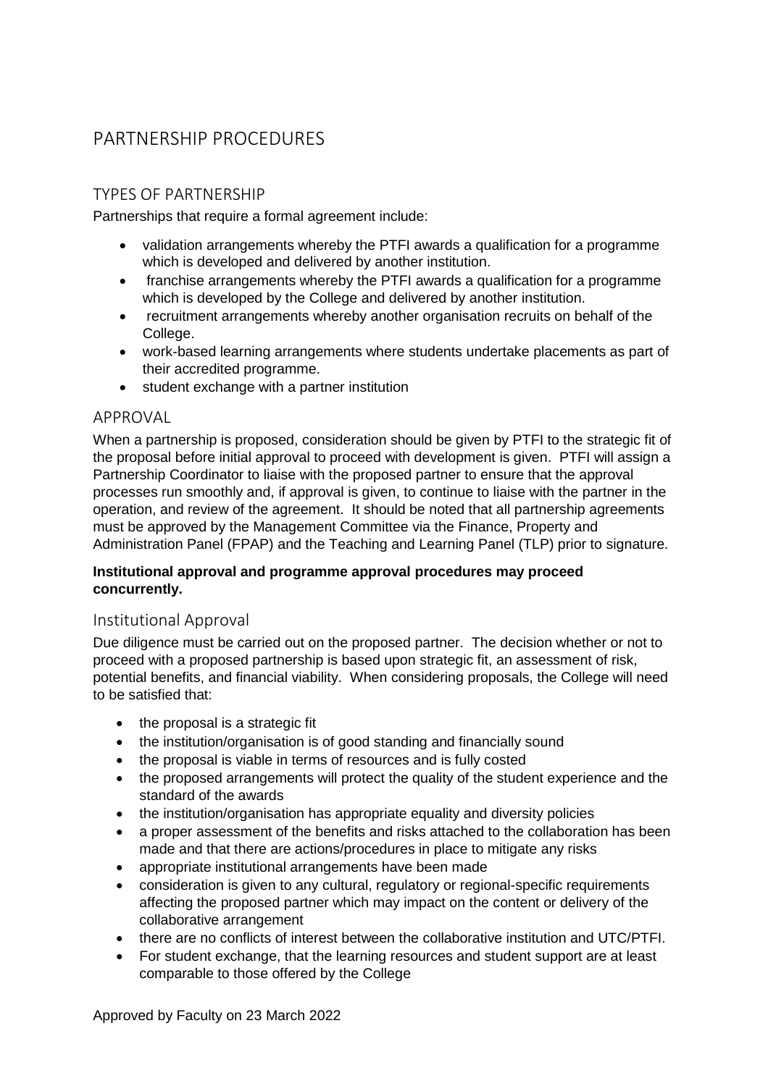# <span id="page-3-0"></span>PARTNERSHIP PROCEDURES

# <span id="page-3-1"></span>TYPES OF PARTNERSHIP

Partnerships that require a formal agreement include:

- validation arrangements whereby the PTFI awards a qualification for a programme which is developed and delivered by another institution.
- franchise arrangements whereby the PTFI awards a qualification for a programme which is developed by the College and delivered by another institution.
- recruitment arrangements whereby another organisation recruits on behalf of the College.
- work-based learning arrangements where students undertake placements as part of their accredited programme.
- student exchange with a partner institution

## <span id="page-3-2"></span>APPROVAL

When a partnership is proposed, consideration should be given by PTFI to the strategic fit of the proposal before initial approval to proceed with development is given. PTFI will assign a Partnership Coordinator to liaise with the proposed partner to ensure that the approval processes run smoothly and, if approval is given, to continue to liaise with the partner in the operation, and review of the agreement. It should be noted that all partnership agreements must be approved by the Management Committee via the Finance, Property and Administration Panel (FPAP) and the Teaching and Learning Panel (TLP) prior to signature.

#### **Institutional approval and programme approval procedures may proceed concurrently.**

## <span id="page-3-3"></span>Institutional Approval

Due diligence must be carried out on the proposed partner. The decision whether or not to proceed with a proposed partnership is based upon strategic fit, an assessment of risk, potential benefits, and financial viability. When considering proposals, the College will need to be satisfied that:

- the proposal is a strategic fit
- the institution/organisation is of good standing and financially sound
- the proposal is viable in terms of resources and is fully costed
- the proposed arrangements will protect the quality of the student experience and the standard of the awards
- the institution/organisation has appropriate equality and diversity policies
- a proper assessment of the benefits and risks attached to the collaboration has been made and that there are actions/procedures in place to mitigate any risks
- appropriate institutional arrangements have been made
- consideration is given to any cultural, regulatory or regional-specific requirements affecting the proposed partner which may impact on the content or delivery of the collaborative arrangement
- there are no conflicts of interest between the collaborative institution and UTC/PTFI.
- For student exchange, that the learning resources and student support are at least comparable to those offered by the College

Approved by Faculty on 23 March 2022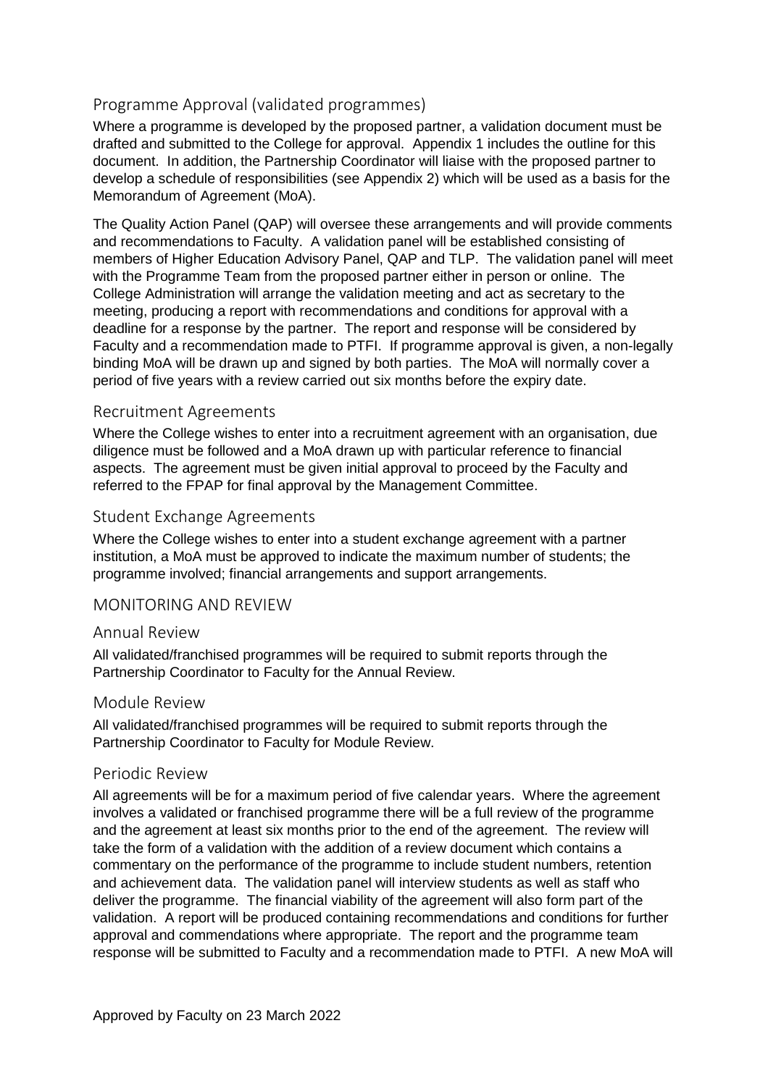## <span id="page-4-0"></span>Programme Approval (validated programmes)

Where a programme is developed by the proposed partner, a validation document must be drafted and submitted to the College for approval. Appendix 1 includes the outline for this document. In addition, the Partnership Coordinator will liaise with the proposed partner to develop a schedule of responsibilities (see Appendix 2) which will be used as a basis for the Memorandum of Agreement (MoA).

The Quality Action Panel (QAP) will oversee these arrangements and will provide comments and recommendations to Faculty. A validation panel will be established consisting of members of Higher Education Advisory Panel, QAP and TLP. The validation panel will meet with the Programme Team from the proposed partner either in person or online. The College Administration will arrange the validation meeting and act as secretary to the meeting, producing a report with recommendations and conditions for approval with a deadline for a response by the partner. The report and response will be considered by Faculty and a recommendation made to PTFI. If programme approval is given, a non-legally binding MoA will be drawn up and signed by both parties. The MoA will normally cover a period of five years with a review carried out six months before the expiry date.

#### <span id="page-4-1"></span>Recruitment Agreements

Where the College wishes to enter into a recruitment agreement with an organisation, due diligence must be followed and a MoA drawn up with particular reference to financial aspects. The agreement must be given initial approval to proceed by the Faculty and referred to the FPAP for final approval by the Management Committee.

#### <span id="page-4-2"></span>Student Exchange Agreements

Where the College wishes to enter into a student exchange agreement with a partner institution, a MoA must be approved to indicate the maximum number of students; the programme involved; financial arrangements and support arrangements.

#### <span id="page-4-3"></span>MONITORING AND REVIEW

#### <span id="page-4-4"></span>Annual Review

All validated/franchised programmes will be required to submit reports through the Partnership Coordinator to Faculty for the Annual Review.

#### <span id="page-4-5"></span>Module Review

All validated/franchised programmes will be required to submit reports through the Partnership Coordinator to Faculty for Module Review.

#### <span id="page-4-6"></span>Periodic Review

All agreements will be for a maximum period of five calendar years. Where the agreement involves a validated or franchised programme there will be a full review of the programme and the agreement at least six months prior to the end of the agreement. The review will take the form of a validation with the addition of a review document which contains a commentary on the performance of the programme to include student numbers, retention and achievement data. The validation panel will interview students as well as staff who deliver the programme. The financial viability of the agreement will also form part of the validation. A report will be produced containing recommendations and conditions for further approval and commendations where appropriate. The report and the programme team response will be submitted to Faculty and a recommendation made to PTFI. A new MoA will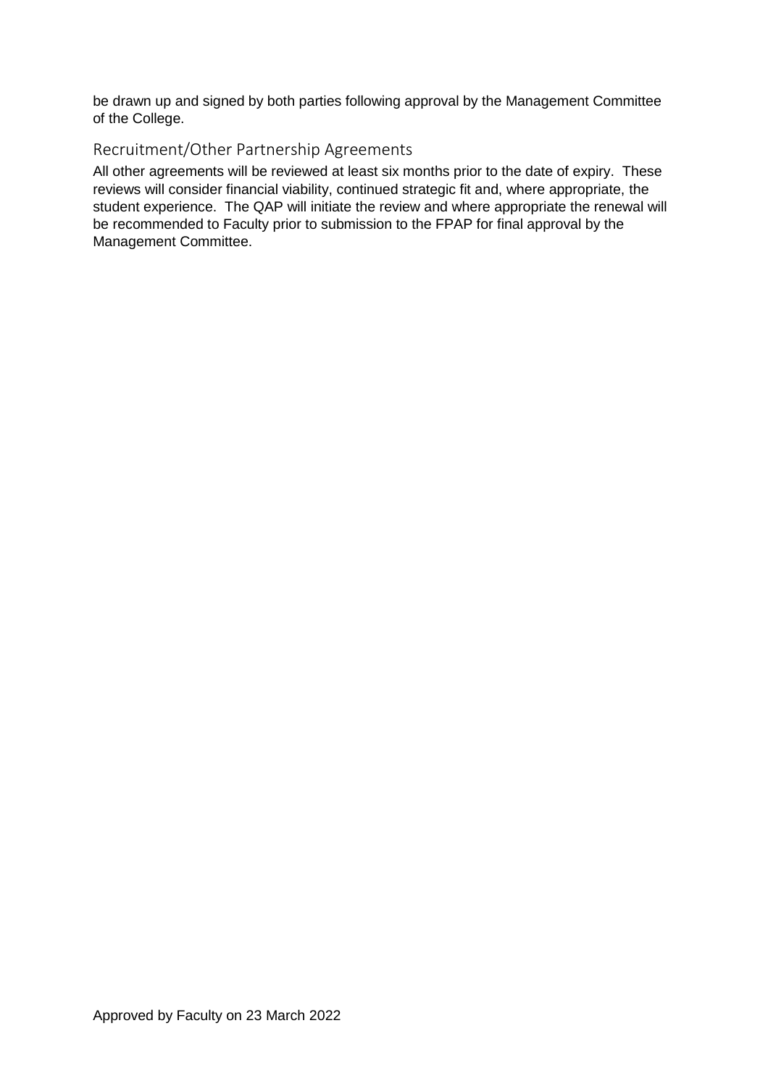be drawn up and signed by both parties following approval by the Management Committee of the College.

## <span id="page-5-0"></span>Recruitment/Other Partnership Agreements

All other agreements will be reviewed at least six months prior to the date of expiry. These reviews will consider financial viability, continued strategic fit and, where appropriate, the student experience. The QAP will initiate the review and where appropriate the renewal will be recommended to Faculty prior to submission to the FPAP for final approval by the Management Committee.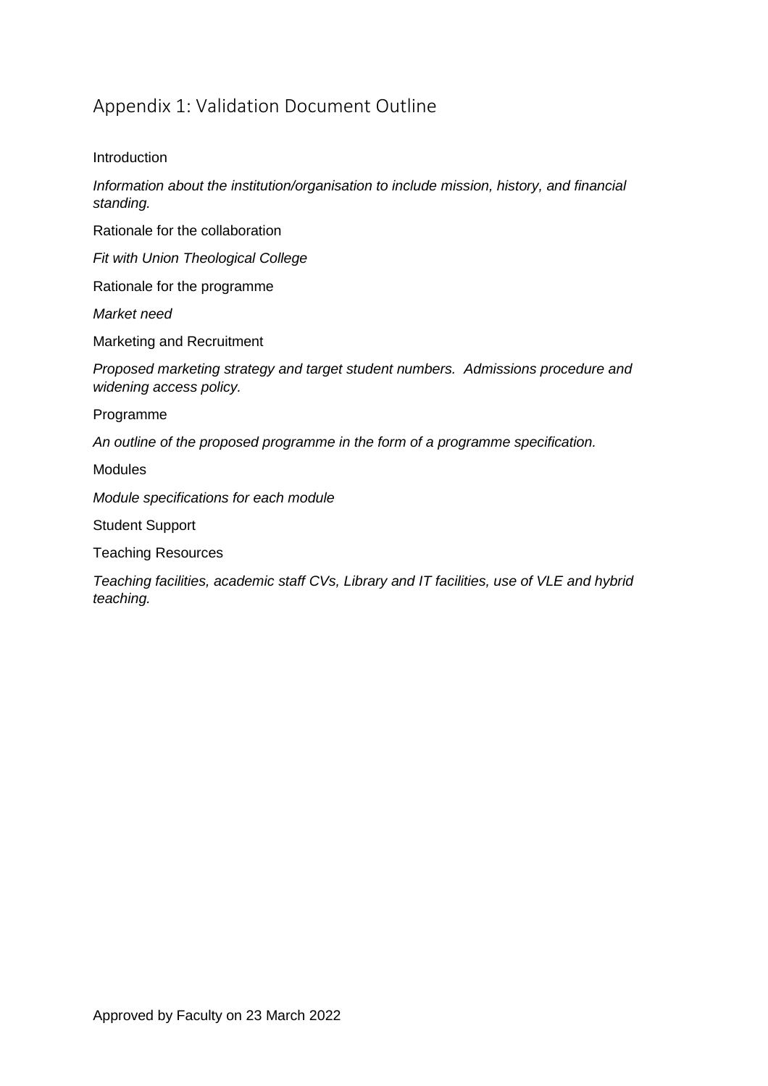# <span id="page-6-0"></span>Appendix 1: Validation Document Outline

#### Introduction

*Information about the institution/organisation to include mission, history, and financial standing.*

Rationale for the collaboration

*Fit with Union Theological College*

Rationale for the programme

*Market need*

Marketing and Recruitment

*Proposed marketing strategy and target student numbers. Admissions procedure and widening access policy.*

Programme

*An outline of the proposed programme in the form of a programme specification.*

Modules

*Module specifications for each module* 

Student Support

Teaching Resources

*Teaching facilities, academic staff CVs, Library and IT facilities, use of VLE and hybrid teaching.*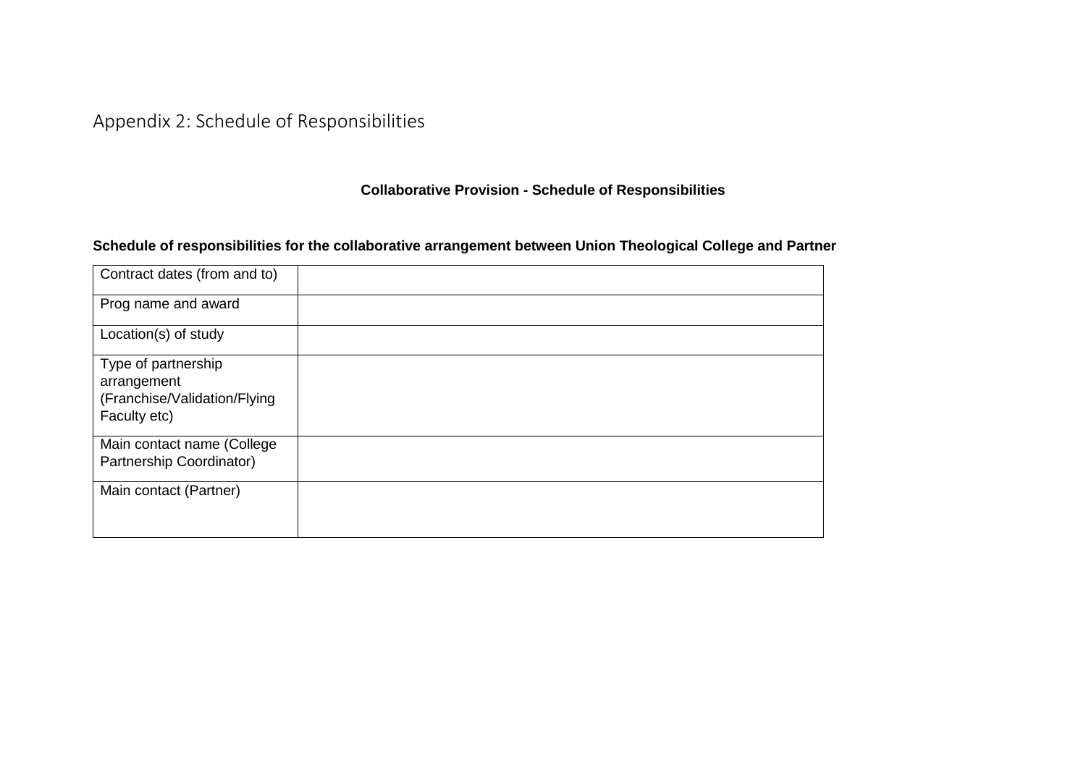# Appendix 2: Schedule of Responsibilities

**Collaborative Provision - Schedule of Responsibilities**

## **Schedule of responsibilities for the collaborative arrangement between Union Theological College and Partner**

<span id="page-7-0"></span>

| Contract dates (from and to)                                                       |  |
|------------------------------------------------------------------------------------|--|
| Prog name and award                                                                |  |
| Location(s) of study                                                               |  |
| Type of partnership<br>arrangement<br>(Franchise/Validation/Flying<br>Faculty etc) |  |
| Main contact name (College<br>Partnership Coordinator)                             |  |
| Main contact (Partner)                                                             |  |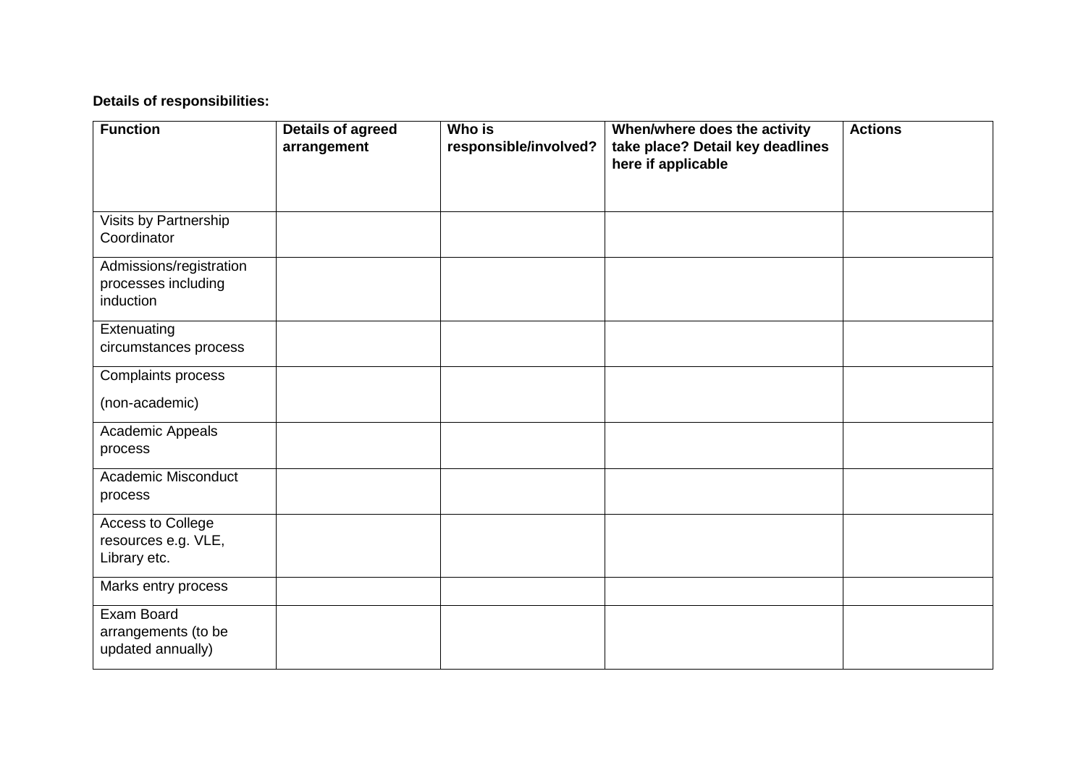## **Details of responsibilities:**

| <b>Function</b>            | <b>Details of agreed</b> | Who is                | When/where does the activity     | <b>Actions</b> |
|----------------------------|--------------------------|-----------------------|----------------------------------|----------------|
|                            | arrangement              | responsible/involved? | take place? Detail key deadlines |                |
|                            |                          |                       | here if applicable               |                |
|                            |                          |                       |                                  |                |
| Visits by Partnership      |                          |                       |                                  |                |
| Coordinator                |                          |                       |                                  |                |
| Admissions/registration    |                          |                       |                                  |                |
| processes including        |                          |                       |                                  |                |
| induction                  |                          |                       |                                  |                |
| Extenuating                |                          |                       |                                  |                |
| circumstances process      |                          |                       |                                  |                |
| Complaints process         |                          |                       |                                  |                |
| (non-academic)             |                          |                       |                                  |                |
| Academic Appeals           |                          |                       |                                  |                |
| process                    |                          |                       |                                  |                |
| <b>Academic Misconduct</b> |                          |                       |                                  |                |
| process                    |                          |                       |                                  |                |
| Access to College          |                          |                       |                                  |                |
| resources e.g. VLE,        |                          |                       |                                  |                |
| Library etc.               |                          |                       |                                  |                |
| Marks entry process        |                          |                       |                                  |                |
| <b>Exam Board</b>          |                          |                       |                                  |                |
| arrangements (to be        |                          |                       |                                  |                |
| updated annually)          |                          |                       |                                  |                |